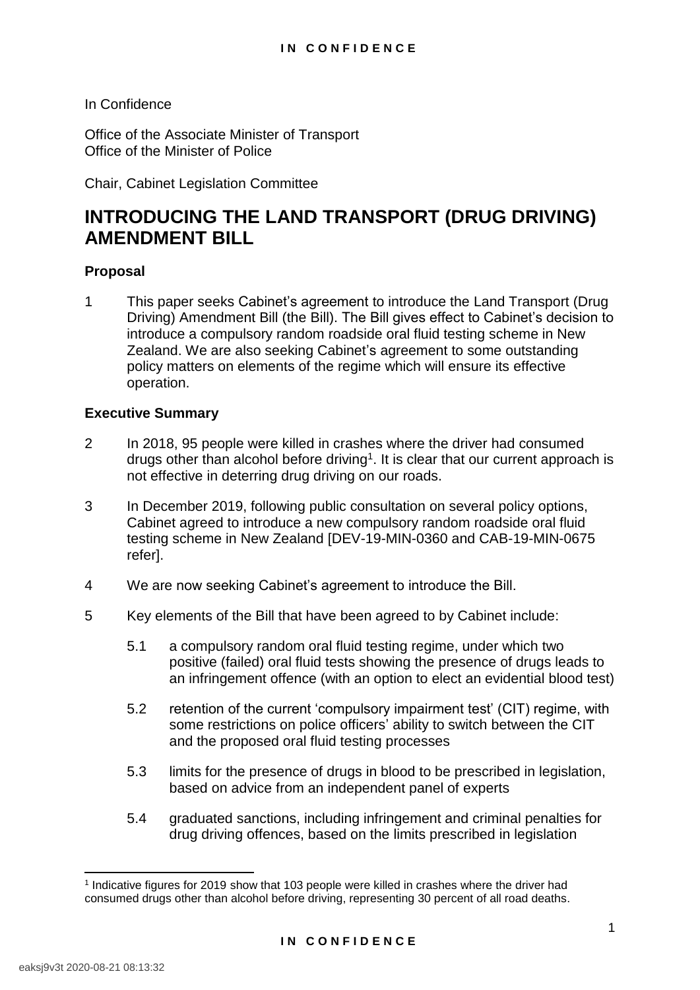In Confidence

Office of the Associate Minister of Transport Office of the Minister of Police

Chair, Cabinet Legislation Committee

# **INTRODUCING THE LAND TRANSPORT (DRUG DRIVING) AMENDMENT BILL**

# **Proposal**

1 This paper seeks Cabinet's agreement to introduce the Land Transport (Drug Driving) Amendment Bill (the Bill). The Bill gives effect to Cabinet's decision to introduce a compulsory random roadside oral fluid testing scheme in New Zealand. We are also seeking Cabinet's agreement to some outstanding policy matters on elements of the regime which will ensure its effective operation.

#### **Executive Summary**

- 2 In 2018, 95 people were killed in crashes where the driver had consumed drugs other than alcohol before driving<sup>1</sup>. It is clear that our current approach is not effective in deterring drug driving on our roads.
- 3 In December 2019, following public consultation on several policy options, Cabinet agreed to introduce a new compulsory random roadside oral fluid testing scheme in New Zealand [DEV-19-MIN-0360 and CAB-19-MIN-0675 refer].
- 4 We are now seeking Cabinet's agreement to introduce the Bill.
- 5 Key elements of the Bill that have been agreed to by Cabinet include:
	- 5.1 a compulsory random oral fluid testing regime, under which two positive (failed) oral fluid tests showing the presence of drugs leads to an infringement offence (with an option to elect an evidential blood test)
	- 5.2 retention of the current 'compulsory impairment test' (CIT) regime, with some restrictions on police officers' ability to switch between the CIT and the proposed oral fluid testing processes
	- 5.3 limits for the presence of drugs in blood to be prescribed in legislation, based on advice from an independent panel of experts
	- 5.4 graduated sanctions, including infringement and criminal penalties for drug driving offences, based on the limits prescribed in legislation

<sup>1</sup> Indicative figures for 2019 show that 103 people were killed in crashes where the driver had consumed drugs other than alcohol before driving, representing 30 percent of all road deaths.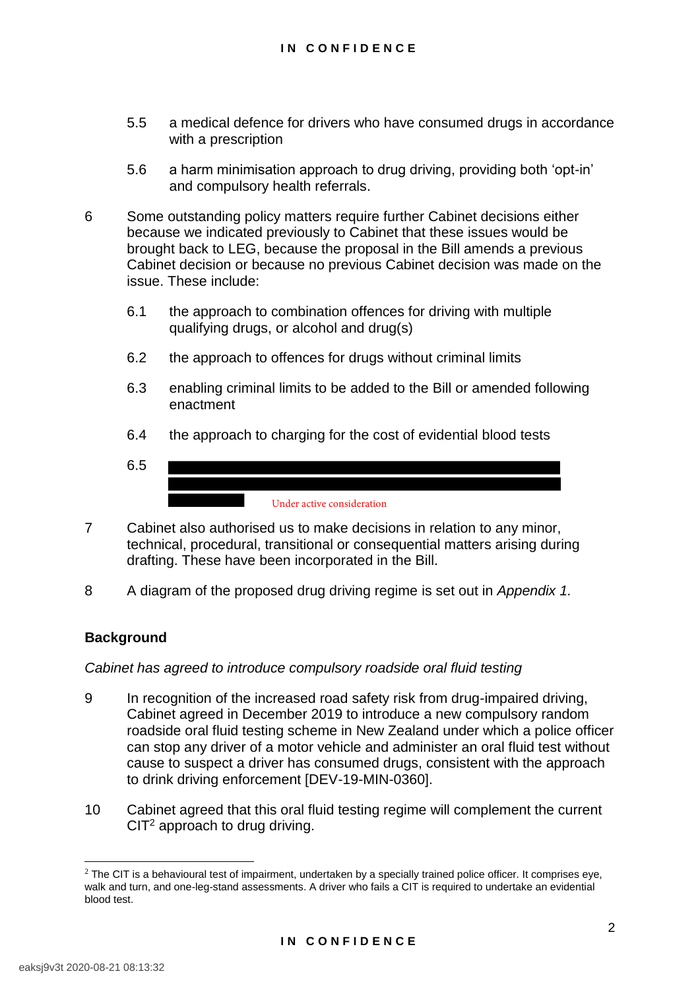- 5.5 a medical defence for drivers who have consumed drugs in accordance with a prescription
- 5.6 a harm minimisation approach to drug driving, providing both 'opt-in' and compulsory health referrals.
- 6 Some outstanding policy matters require further Cabinet decisions either because we indicated previously to Cabinet that these issues would be brought back to LEG, because the proposal in the Bill amends a previous Cabinet decision or because no previous Cabinet decision was made on the issue. These include:
	- 6.1 the approach to combination offences for driving with multiple qualifying drugs, or alcohol and drug(s)
	- 6.2 the approach to offences for drugs without criminal limits
	- 6.3 enabling criminal limits to be added to the Bill or amended following enactment
	- 6.4 the approach to charging for the cost of evidential blood tests
	- 6.5 Under active consideration
- 7 Cabinet also authorised us to make decisions in relation to any minor, technical, procedural, transitional or consequential matters arising during drafting. These have been incorporated in the Bill.
- 8 A diagram of the proposed drug driving regime is set out in *Appendix 1.*

# **Background**

*Cabinet has agreed to introduce compulsory roadside oral fluid testing* 

- 9 In recognition of the increased road safety risk from drug-impaired driving, Cabinet agreed in December 2019 to introduce a new compulsory random roadside oral fluid testing scheme in New Zealand under which a police officer can stop any driver of a motor vehicle and administer an oral fluid test without cause to suspect a driver has consumed drugs, consistent with the approach to drink driving enforcement [DEV-19-MIN-0360].
- 10 Cabinet agreed that this oral fluid testing regime will complement the current  $CIT<sup>2</sup>$  approach to drug driving.

 $2$  The CIT is a behavioural test of impairment, undertaken by a specially trained police officer. It comprises eye, walk and turn, and one-leg-stand assessments. A driver who fails a CIT is required to undertake an evidential blood test.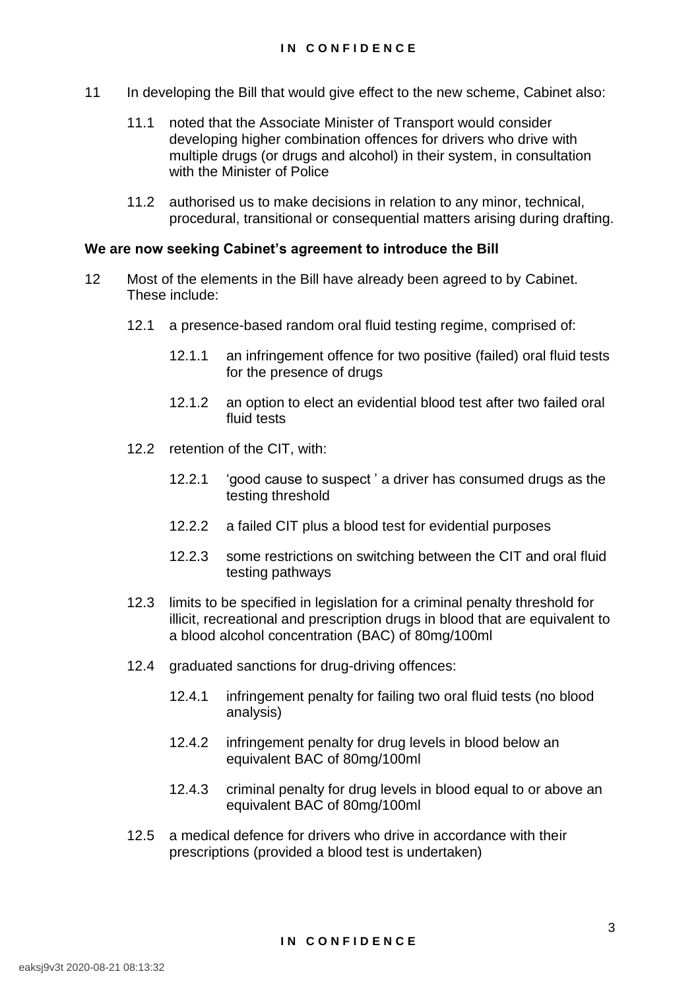- 11 In developing the Bill that would give effect to the new scheme, Cabinet also:
	- 11.1 noted that the Associate Minister of Transport would consider developing higher combination offences for drivers who drive with multiple drugs (or drugs and alcohol) in their system, in consultation with the Minister of Police
	- 11.2 authorised us to make decisions in relation to any minor, technical, procedural, transitional or consequential matters arising during drafting.

# **We are now seeking Cabinet's agreement to introduce the Bill**

- 12 Most of the elements in the Bill have already been agreed to by Cabinet. These include:
	- 12.1 a presence-based random oral fluid testing regime, comprised of:
		- 12.1.1 an infringement offence for two positive (failed) oral fluid tests for the presence of drugs
		- 12.1.2 an option to elect an evidential blood test after two failed oral fluid tests
	- 12.2 retention of the CIT, with:
		- 12.2.1 'good cause to suspect ' a driver has consumed drugs as the testing threshold
		- 12.2.2 a failed CIT plus a blood test for evidential purposes
		- 12.2.3 some restrictions on switching between the CIT and oral fluid testing pathways
	- 12.3 limits to be specified in legislation for a criminal penalty threshold for illicit, recreational and prescription drugs in blood that are equivalent to a blood alcohol concentration (BAC) of 80mg/100ml
	- 12.4 graduated sanctions for drug-driving offences:
		- 12.4.1 infringement penalty for failing two oral fluid tests (no blood analysis)
		- 12.4.2 infringement penalty for drug levels in blood below an equivalent BAC of 80mg/100ml
		- 12.4.3 criminal penalty for drug levels in blood equal to or above an equivalent BAC of 80mg/100ml
	- 12.5 a medical defence for drivers who drive in accordance with their prescriptions (provided a blood test is undertaken)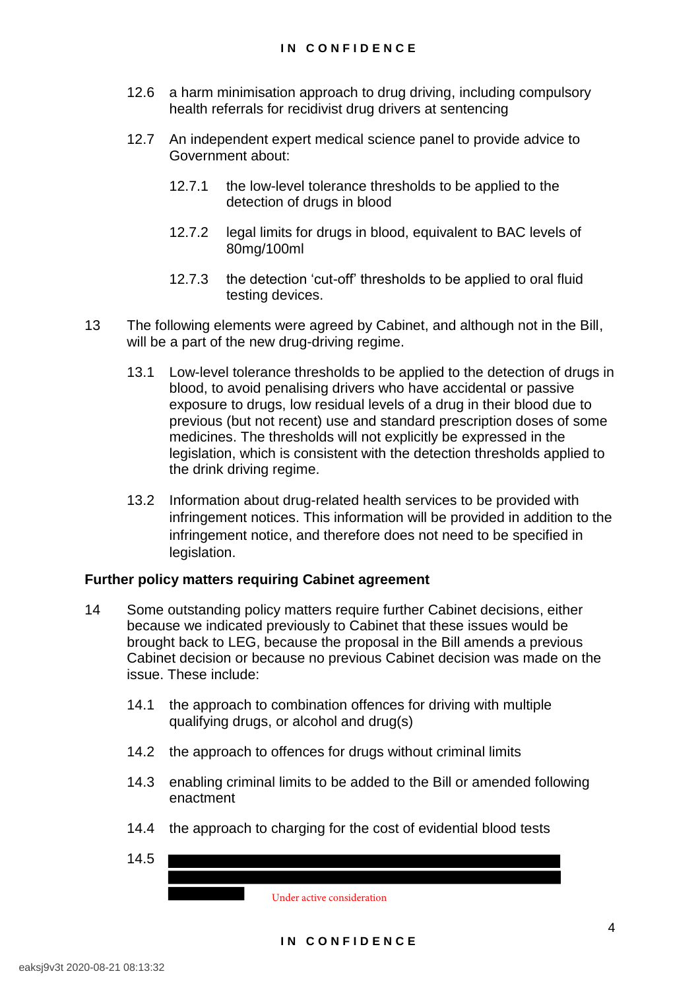- 12.6 a harm minimisation approach to drug driving, including compulsory health referrals for recidivist drug drivers at sentencing
- 12.7 An independent expert medical science panel to provide advice to Government about:
	- 12.7.1 the low-level tolerance thresholds to be applied to the detection of drugs in blood
	- 12.7.2 legal limits for drugs in blood, equivalent to BAC levels of 80mg/100ml
	- 12.7.3 the detection 'cut-off' thresholds to be applied to oral fluid testing devices.
- 13 The following elements were agreed by Cabinet, and although not in the Bill, will be a part of the new drug-driving regime.
	- 13.1 Low-level tolerance thresholds to be applied to the detection of drugs in blood, to avoid penalising drivers who have accidental or passive exposure to drugs, low residual levels of a drug in their blood due to previous (but not recent) use and standard prescription doses of some medicines. The thresholds will not explicitly be expressed in the legislation, which is consistent with the detection thresholds applied to the drink driving regime.
	- 13.2 Information about drug-related health services to be provided with infringement notices. This information will be provided in addition to the infringement notice, and therefore does not need to be specified in legislation.

# **Further policy matters requiring Cabinet agreement**

- 14 Some outstanding policy matters require further Cabinet decisions, either because we indicated previously to Cabinet that these issues would be brought back to LEG, because the proposal in the Bill amends a previous Cabinet decision or because no previous Cabinet decision was made on the issue. These include:
	- 14.1 the approach to combination offences for driving with multiple qualifying drugs, or alcohol and drug(s)
	- 14.2 the approach to offences for drugs without criminal limits
	- 14.3 enabling criminal limits to be added to the Bill or amended following enactment
	- 14.4 the approach to charging for the cost of evidential blood tests
	- 14.5

Under active consideration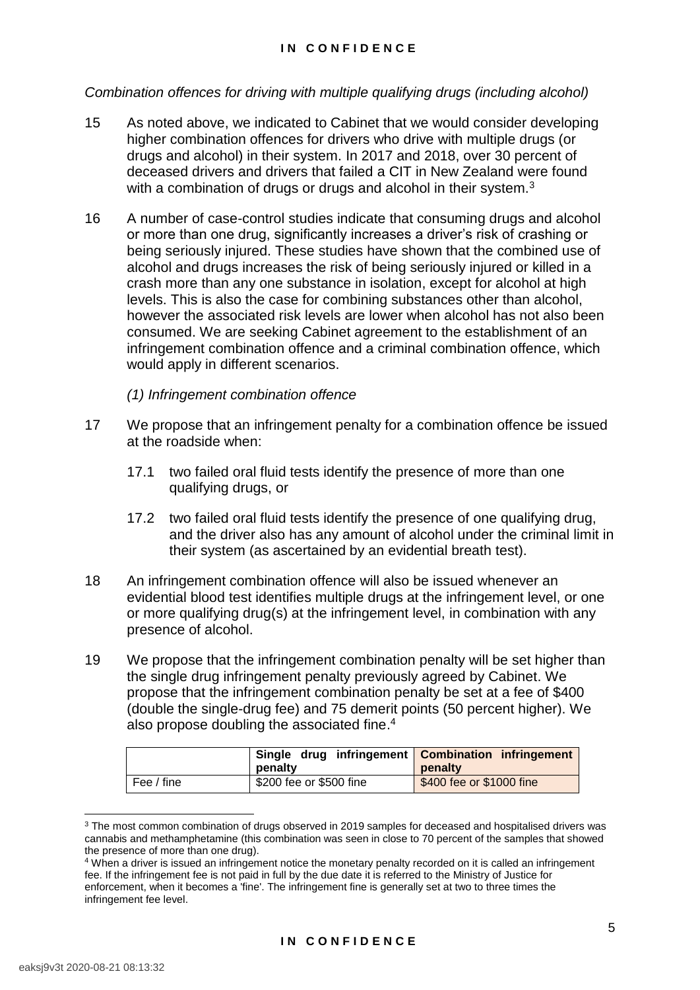#### **I N C O N F I D E N C E**

# *Combination offences for driving with multiple qualifying drugs (including alcohol)*

- 15 As noted above, we indicated to Cabinet that we would consider developing higher combination offences for drivers who drive with multiple drugs (or drugs and alcohol) in their system. In 2017 and 2018, over 30 percent of deceased drivers and drivers that failed a CIT in New Zealand were found with a combination of drugs or drugs and alcohol in their system. $3$
- 16 A number of case-control studies indicate that consuming drugs and alcohol or more than one drug, significantly increases a driver's risk of crashing or being seriously injured. These studies have shown that the combined use of alcohol and drugs increases the risk of being seriously injured or killed in a crash more than any one substance in isolation, except for alcohol at high levels. This is also the case for combining substances other than alcohol, however the associated risk levels are lower when alcohol has not also been consumed. We are seeking Cabinet agreement to the establishment of an infringement combination offence and a criminal combination offence, which would apply in different scenarios.

*(1) Infringement combination offence* 

- 17 We propose that an infringement penalty for a combination offence be issued at the roadside when:
	- 17.1 two failed oral fluid tests identify the presence of more than one qualifying drugs, or
	- 17.2 two failed oral fluid tests identify the presence of one qualifying drug, and the driver also has any amount of alcohol under the criminal limit in their system (as ascertained by an evidential breath test).
- 18 An infringement combination offence will also be issued whenever an evidential blood test identifies multiple drugs at the infringement level, or one or more qualifying drug(s) at the infringement level, in combination with any presence of alcohol.
- 19 We propose that the infringement combination penalty will be set higher than the single drug infringement penalty previously agreed by Cabinet. We propose that the infringement combination penalty be set at a fee of \$400 (double the single-drug fee) and 75 demerit points (50 percent higher). We also propose doubling the associated fine.<sup>4</sup>

|            | Single drug infringement   Combination infringement<br>penalty | penalty                  |
|------------|----------------------------------------------------------------|--------------------------|
| Fee / fine | \$200 fee or \$500 fine                                        | \$400 fee or \$1000 fine |

 $3$  The most common combination of drugs observed in 2019 samples for deceased and hospitalised drivers was cannabis and methamphetamine (this combination was seen in close to 70 percent of the samples that showed the presence of more than one drug).

<sup>4</sup> When a driver is issued an infringement notice the monetary penalty recorded on it is called an infringement fee. If the infringement fee is not paid in full by the due date it is referred to the Ministry of Justice for enforcement, when it becomes a 'fine'. The infringement fine is generally set at two to three times the infringement fee level.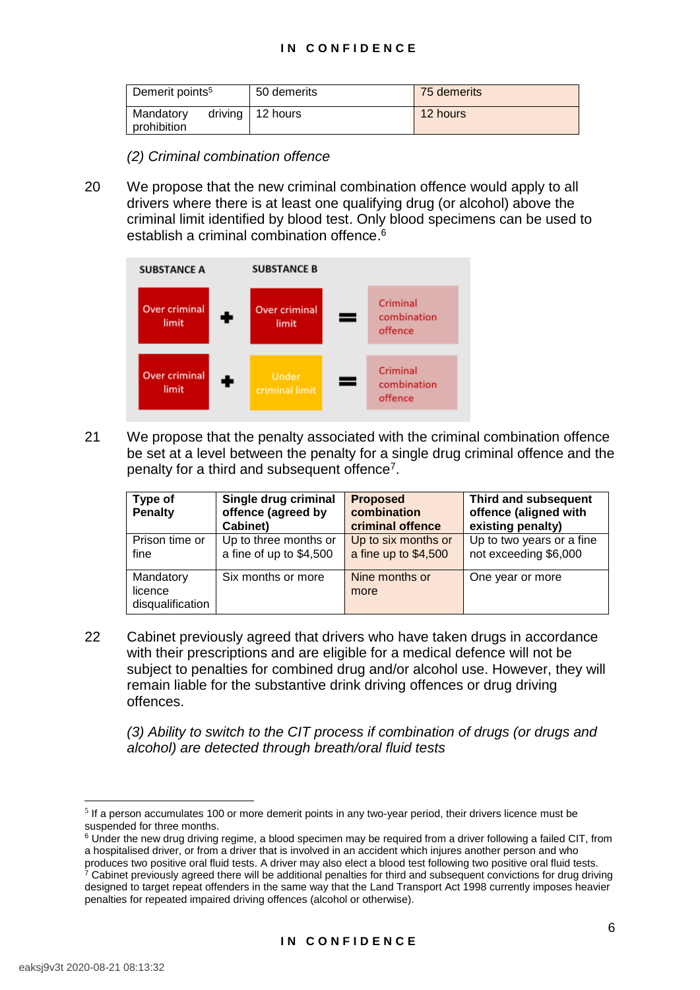| Demerit points <sup>5</sup> | 50 demerits              | 75 demerits |
|-----------------------------|--------------------------|-------------|
| Mandatory<br>prohibition    | driving $\vert$ 12 hours | 12 hours    |

#### *(2) Criminal combination offence*

20 We propose that the new criminal combination offence would apply to all drivers where there is at least one qualifying drug (or alcohol) above the criminal limit identified by blood test. Only blood specimens can be used to establish a criminal combination offence.<sup>6</sup>



21 We propose that the penalty associated with the criminal combination offence be set at a level between the penalty for a single drug criminal offence and the penalty for a third and subsequent offence<sup>7</sup>.

| Type of<br><b>Penalty</b>                | Single drug criminal<br>offence (agreed by<br>Cabinet) | <b>Proposed</b><br>combination<br>criminal offence | Third and subsequent<br>offence (aligned with<br>existing penalty) |
|------------------------------------------|--------------------------------------------------------|----------------------------------------------------|--------------------------------------------------------------------|
| Prison time or<br>fine                   | Up to three months or<br>a fine of up to \$4,500       | Up to six months or<br>a fine up to \$4,500        | Up to two years or a fine<br>not exceeding \$6,000                 |
| Mandatory<br>licence<br>disqualification | Six months or more                                     | Nine months or<br>more                             | One year or more                                                   |

22 Cabinet previously agreed that drivers who have taken drugs in accordance with their prescriptions and are eligible for a medical defence will not be subject to penalties for combined drug and/or alcohol use. However, they will remain liable for the substantive drink driving offences or drug driving offences.

*(3) Ability to switch to the CIT process if combination of drugs (or drugs and alcohol) are detected through breath/oral fluid tests* 

<sup>&</sup>lt;sup>5</sup> If a person accumulates 100 or more demerit points in any two-year period, their drivers licence must be suspended for three months.

<sup>&</sup>lt;sup>6</sup> Under the new drug driving regime, a blood specimen may be required from a driver following a failed CIT, from a hospitalised driver, or from a driver that is involved in an accident which injures another person and who produces two positive oral fluid tests. A driver may also elect a blood test following two positive oral fluid tests.

<sup>&</sup>lt;sup>7</sup> Cabinet previously agreed there will be additional penalties for third and subsequent convictions for drug driving designed to target repeat offenders in the same way that the Land Transport Act 1998 currently imposes heavier penalties for repeated impaired driving offences (alcohol or otherwise).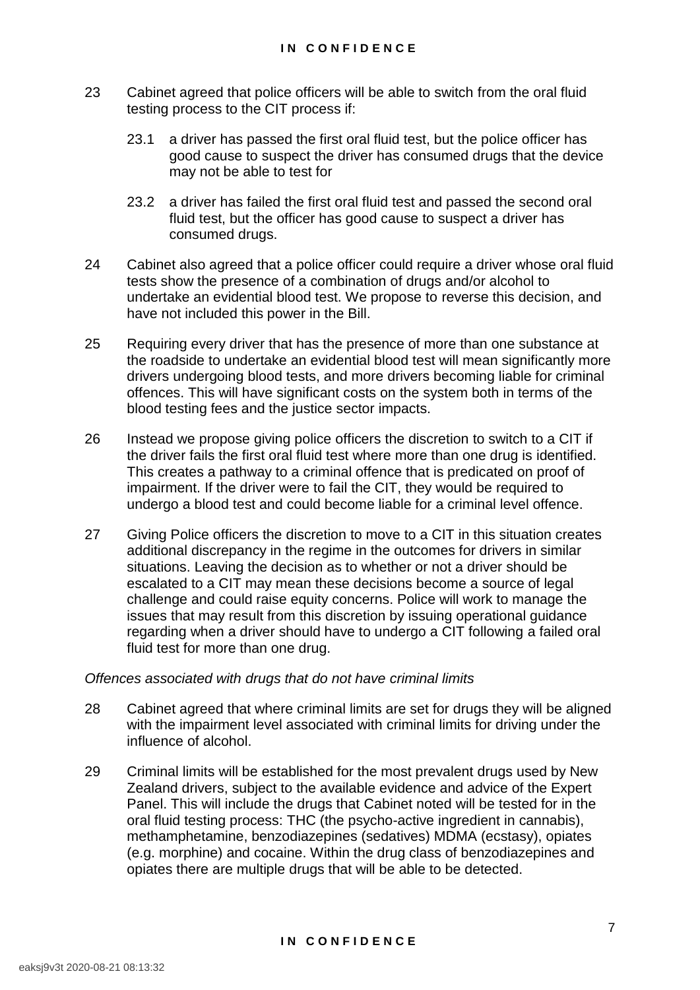- 23 Cabinet agreed that police officers will be able to switch from the oral fluid testing process to the CIT process if:
	- 23.1 a driver has passed the first oral fluid test, but the police officer has good cause to suspect the driver has consumed drugs that the device may not be able to test for
	- 23.2 a driver has failed the first oral fluid test and passed the second oral fluid test, but the officer has good cause to suspect a driver has consumed drugs.
- 24 Cabinet also agreed that a police officer could require a driver whose oral fluid tests show the presence of a combination of drugs and/or alcohol to undertake an evidential blood test. We propose to reverse this decision, and have not included this power in the Bill.
- 25 Requiring every driver that has the presence of more than one substance at the roadside to undertake an evidential blood test will mean significantly more drivers undergoing blood tests, and more drivers becoming liable for criminal offences. This will have significant costs on the system both in terms of the blood testing fees and the justice sector impacts.
- 26 Instead we propose giving police officers the discretion to switch to a CIT if the driver fails the first oral fluid test where more than one drug is identified. This creates a pathway to a criminal offence that is predicated on proof of impairment. If the driver were to fail the CIT, they would be required to undergo a blood test and could become liable for a criminal level offence.
- 27 Giving Police officers the discretion to move to a CIT in this situation creates additional discrepancy in the regime in the outcomes for drivers in similar situations. Leaving the decision as to whether or not a driver should be escalated to a CIT may mean these decisions become a source of legal challenge and could raise equity concerns. Police will work to manage the issues that may result from this discretion by issuing operational guidance regarding when a driver should have to undergo a CIT following a failed oral fluid test for more than one drug.

#### *Offences associated with drugs that do not have criminal limits*

- 28 Cabinet agreed that where criminal limits are set for drugs they will be aligned with the impairment level associated with criminal limits for driving under the influence of alcohol.
- 29 Criminal limits will be established for the most prevalent drugs used by New Zealand drivers, subject to the available evidence and advice of the Expert Panel. This will include the drugs that Cabinet noted will be tested for in the oral fluid testing process: THC (the psycho-active ingredient in cannabis), methamphetamine, benzodiazepines (sedatives) MDMA (ecstasy), opiates (e.g. morphine) and cocaine. Within the drug class of benzodiazepines and opiates there are multiple drugs that will be able to be detected.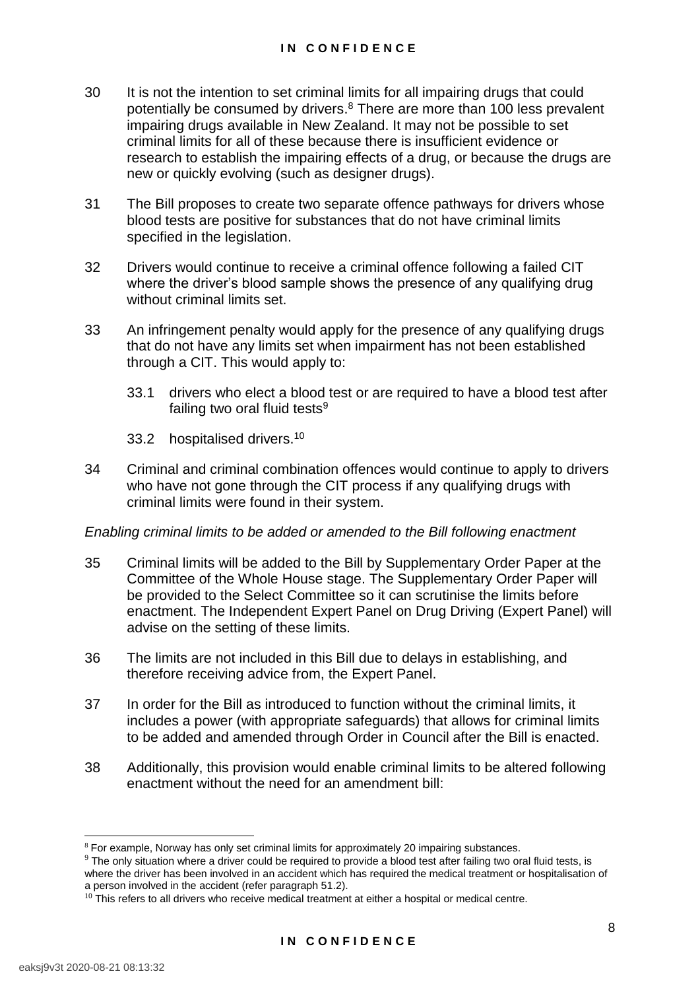- 30 It is not the intention to set criminal limits for all impairing drugs that could potentially be consumed by drivers.<sup>8</sup> There are more than 100 less prevalent impairing drugs available in New Zealand. It may not be possible to set criminal limits for all of these because there is insufficient evidence or research to establish the impairing effects of a drug, or because the drugs are new or quickly evolving (such as designer drugs).
- 31 The Bill proposes to create two separate offence pathways for drivers whose blood tests are positive for substances that do not have criminal limits specified in the legislation.
- 32 Drivers would continue to receive a criminal offence following a failed CIT where the driver's blood sample shows the presence of any qualifying drug without criminal limits set.
- 33 An infringement penalty would apply for the presence of any qualifying drugs that do not have any limits set when impairment has not been established through a CIT. This would apply to:
	- 33.1 drivers who elect a blood test or are required to have a blood test after failing two oral fluid tests $9$
	- 33.2 hospitalised drivers.<sup>10</sup>
- 34 Criminal and criminal combination offences would continue to apply to drivers who have not gone through the CIT process if any qualifying drugs with criminal limits were found in their system.

# *Enabling criminal limits to be added or amended to the Bill following enactment*

- 35 Criminal limits will be added to the Bill by Supplementary Order Paper at the Committee of the Whole House stage. The Supplementary Order Paper will be provided to the Select Committee so it can scrutinise the limits before enactment. The Independent Expert Panel on Drug Driving (Expert Panel) will advise on the setting of these limits.
- 36 The limits are not included in this Bill due to delays in establishing, and therefore receiving advice from, the Expert Panel.
- 37 In order for the Bill as introduced to function without the criminal limits, it includes a power (with appropriate safeguards) that allows for criminal limits to be added and amended through Order in Council after the Bill is enacted.
- 38 Additionally, this provision would enable criminal limits to be altered following enactment without the need for an amendment bill:

<sup>&</sup>lt;sup>8</sup> For example, Norway has only set criminal limits for approximately 20 impairing substances.

 $9$  The only situation where a driver could be required to provide a blood test after failing two oral fluid tests, is where the driver has been involved in an accident which has required the medical treatment or hospitalisation of a person involved in the accident (refer paragraph 51.2).

 $10$  This refers to all drivers who receive medical treatment at either a hospital or medical centre.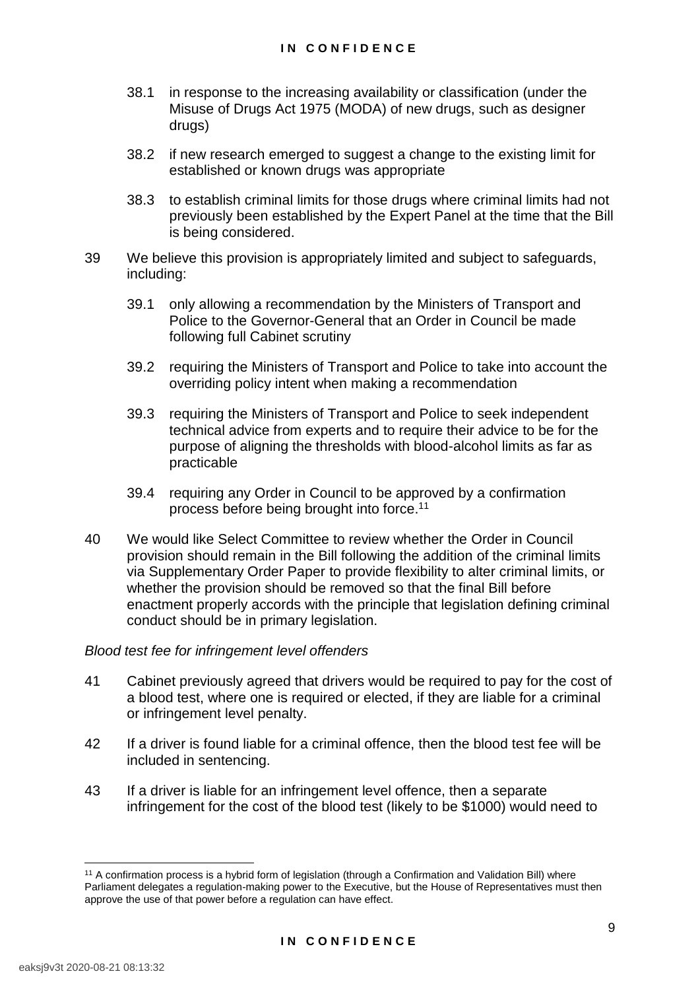- 38.1 in response to the increasing availability or classification (under the Misuse of Drugs Act 1975 (MODA) of new drugs, such as designer drugs)
- 38.2 if new research emerged to suggest a change to the existing limit for established or known drugs was appropriate
- 38.3 to establish criminal limits for those drugs where criminal limits had not previously been established by the Expert Panel at the time that the Bill is being considered.
- 39 We believe this provision is appropriately limited and subject to safeguards, including:
	- 39.1 only allowing a recommendation by the Ministers of Transport and Police to the Governor-General that an Order in Council be made following full Cabinet scrutiny
	- 39.2 requiring the Ministers of Transport and Police to take into account the overriding policy intent when making a recommendation
	- 39.3 requiring the Ministers of Transport and Police to seek independent technical advice from experts and to require their advice to be for the purpose of aligning the thresholds with blood-alcohol limits as far as practicable
	- 39.4 requiring any Order in Council to be approved by a confirmation process before being brought into force.<sup>11</sup>
- 40 We would like Select Committee to review whether the Order in Council provision should remain in the Bill following the addition of the criminal limits via Supplementary Order Paper to provide flexibility to alter criminal limits, or whether the provision should be removed so that the final Bill before enactment properly accords with the principle that legislation defining criminal conduct should be in primary legislation.

#### *Blood test fee for infringement level offenders*

- 41 Cabinet previously agreed that drivers would be required to pay for the cost of a blood test, where one is required or elected, if they are liable for a criminal or infringement level penalty.
- 42 If a driver is found liable for a criminal offence, then the blood test fee will be included in sentencing.
- 43 If a driver is liable for an infringement level offence, then a separate infringement for the cost of the blood test (likely to be \$1000) would need to

<sup>11</sup> A confirmation process is a hybrid form of legislation (through a Confirmation and Validation Bill) where Parliament delegates a regulation-making power to the Executive, but the House of Representatives must then approve the use of that power before a regulation can have effect.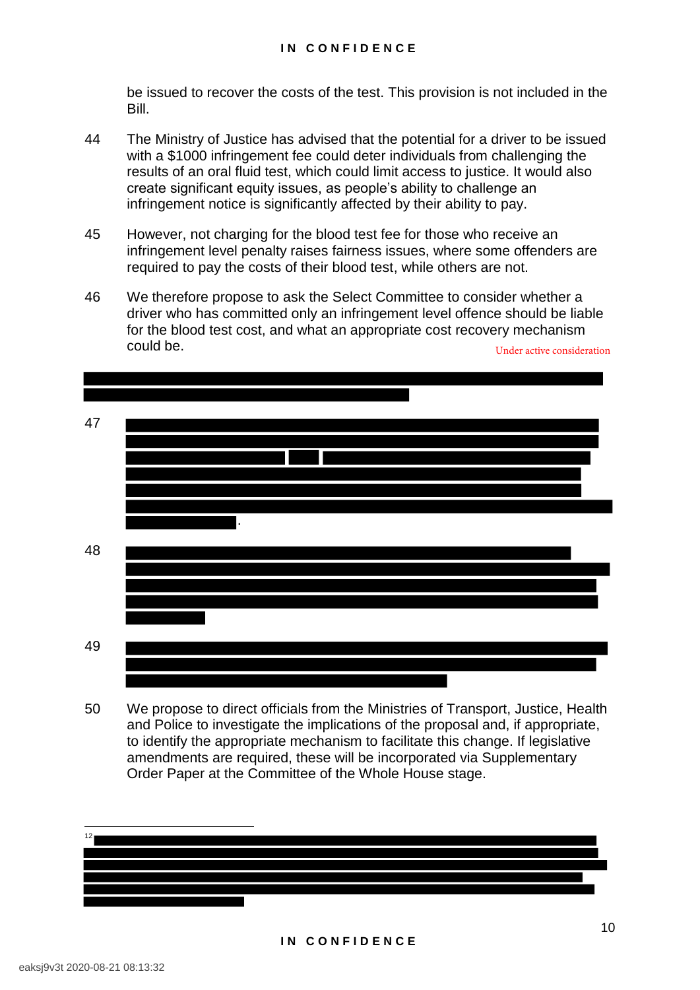be issued to recover the costs of the test. This provision is not included in the Bill.

- 44 The Ministry of Justice has advised that the potential for a driver to be issued with a \$1000 infringement fee could deter individuals from challenging the results of an oral fluid test, which could limit access to justice. It would also create significant equity issues, as people's ability to challenge an infringement notice is significantly affected by their ability to pay.
- 45 However, not charging for the blood test fee for those who receive an infringement level penalty raises fairness issues, where some offenders are required to pay the costs of their blood test, while others are not.
- 46 We therefore propose to ask the Select Committee to consider whether a driver who has committed only an infringement level offence should be liable for the blood test cost, and what an appropriate cost recovery mechanism could be. Under active consideration



50 We propose to direct officials from the Ministries of Transport, Justice, Health and Police to investigate the implications of the proposal and, if appropriate, to identify the appropriate mechanism to facilitate this change. If legislative amendments are required, these will be incorporated via Supplementary Order Paper at the Committee of the Whole House stage.

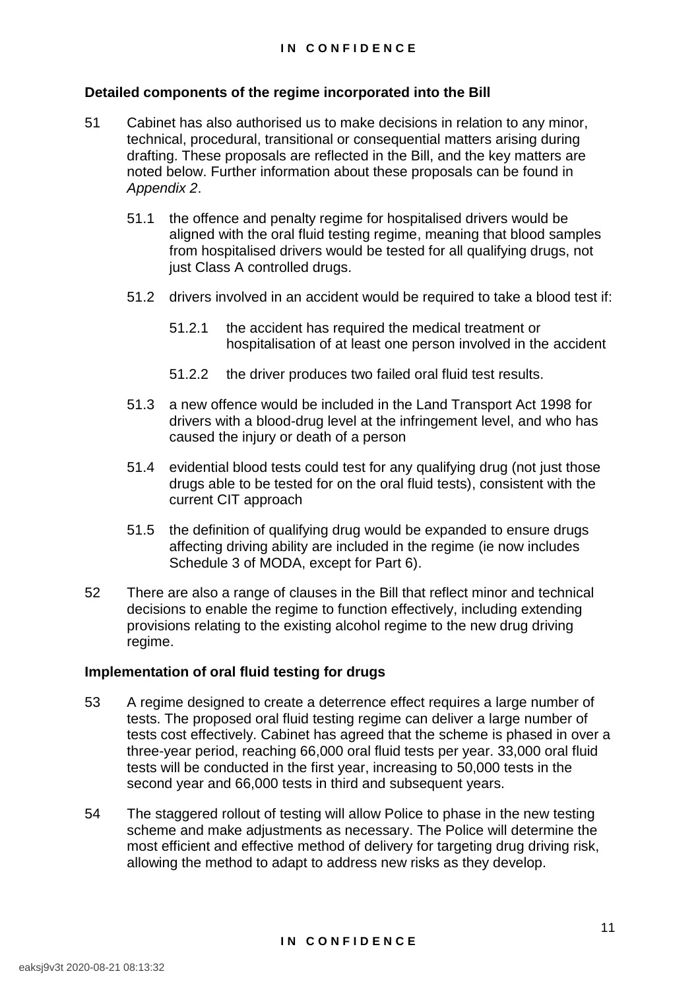# **Detailed components of the regime incorporated into the Bill**

- 51 Cabinet has also authorised us to make decisions in relation to any minor, technical, procedural, transitional or consequential matters arising during drafting. These proposals are reflected in the Bill, and the key matters are noted below. Further information about these proposals can be found in *Appendix 2*.
	- 51.1 the offence and penalty regime for hospitalised drivers would be aligned with the oral fluid testing regime, meaning that blood samples from hospitalised drivers would be tested for all qualifying drugs, not just Class A controlled drugs.
	- 51.2 drivers involved in an accident would be required to take a blood test if:
		- 51.2.1 the accident has required the medical treatment or hospitalisation of at least one person involved in the accident
		- 51.2.2 the driver produces two failed oral fluid test results.
	- 51.3 a new offence would be included in the Land Transport Act 1998 for drivers with a blood-drug level at the infringement level, and who has caused the injury or death of a person
	- 51.4 evidential blood tests could test for any qualifying drug (not just those drugs able to be tested for on the oral fluid tests), consistent with the current CIT approach
	- 51.5 the definition of qualifying drug would be expanded to ensure drugs affecting driving ability are included in the regime (ie now includes Schedule 3 of MODA, except for Part 6).
- 52 There are also a range of clauses in the Bill that reflect minor and technical decisions to enable the regime to function effectively, including extending provisions relating to the existing alcohol regime to the new drug driving regime.

#### **Implementation of oral fluid testing for drugs**

- 53 A regime designed to create a deterrence effect requires a large number of tests. The proposed oral fluid testing regime can deliver a large number of tests cost effectively. Cabinet has agreed that the scheme is phased in over a three-year period, reaching 66,000 oral fluid tests per year. 33,000 oral fluid tests will be conducted in the first year, increasing to 50,000 tests in the second year and 66,000 tests in third and subsequent years.
- 54 The staggered rollout of testing will allow Police to phase in the new testing scheme and make adjustments as necessary. The Police will determine the most efficient and effective method of delivery for targeting drug driving risk, allowing the method to adapt to address new risks as they develop.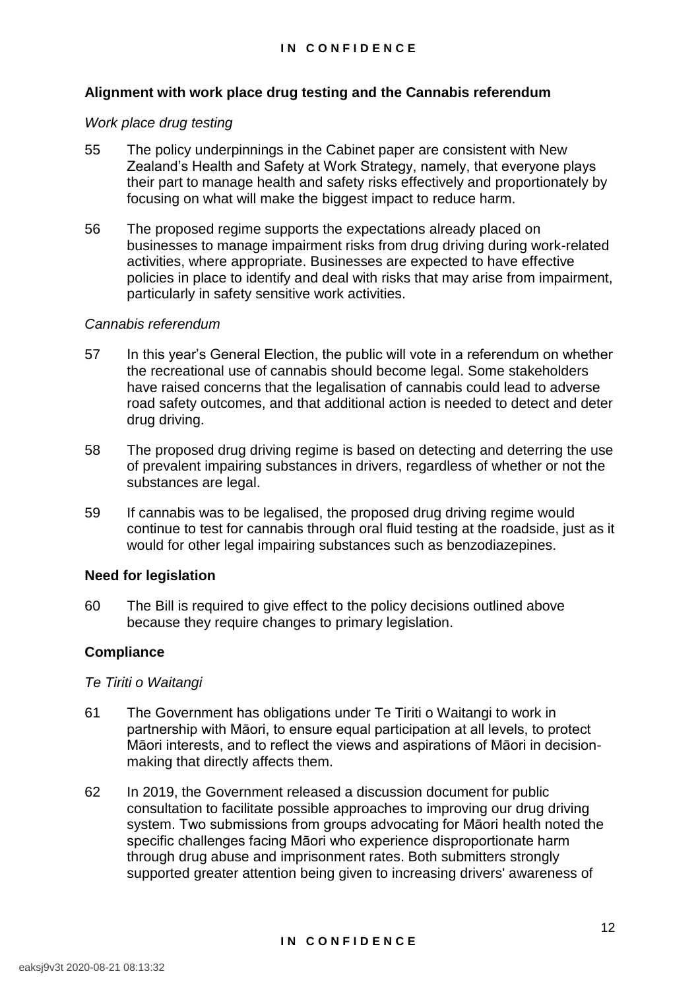# **Alignment with work place drug testing and the Cannabis referendum**

#### *Work place drug testing*

- 55 The policy underpinnings in the Cabinet paper are consistent with New Zealand's Health and Safety at Work Strategy, namely, that everyone plays their part to manage health and safety risks effectively and proportionately by focusing on what will make the biggest impact to reduce harm.
- 56 The proposed regime supports the expectations already placed on businesses to manage impairment risks from drug driving during work-related activities, where appropriate. Businesses are expected to have effective policies in place to identify and deal with risks that may arise from impairment, particularly in safety sensitive work activities.

# *Cannabis referendum*

- 57 In this year's General Election, the public will vote in a referendum on whether the recreational use of cannabis should become legal. Some stakeholders have raised concerns that the legalisation of cannabis could lead to adverse road safety outcomes, and that additional action is needed to detect and deter drug driving.
- 58 The proposed drug driving regime is based on detecting and deterring the use of prevalent impairing substances in drivers, regardless of whether or not the substances are legal.
- 59 If cannabis was to be legalised, the proposed drug driving regime would continue to test for cannabis through oral fluid testing at the roadside, just as it would for other legal impairing substances such as benzodiazepines.

#### **Need for legislation**

60 The Bill is required to give effect to the policy decisions outlined above because they require changes to primary legislation.

# **Compliance**

#### *Te Tiriti o Waitangi*

- 61 The Government has obligations under Te Tiriti o Waitangi to work in partnership with Māori, to ensure equal participation at all levels, to protect Māori interests, and to reflect the views and aspirations of Māori in decisionmaking that directly affects them.
- 62 In 2019, the Government released a discussion document for public consultation to facilitate possible approaches to improving our drug driving system. Two submissions from groups advocating for Māori health noted the specific challenges facing Māori who experience disproportionate harm through drug abuse and imprisonment rates. Both submitters strongly supported greater attention being given to increasing drivers' awareness of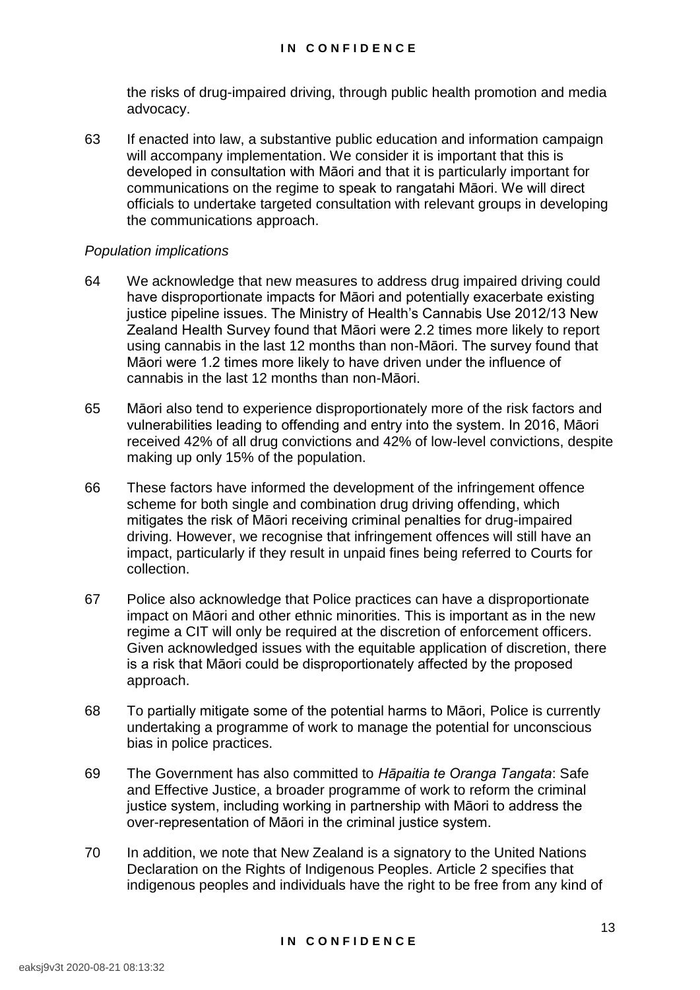the risks of drug-impaired driving, through public health promotion and media advocacy.

63 If enacted into law, a substantive public education and information campaign will accompany implementation. We consider it is important that this is developed in consultation with Māori and that it is particularly important for communications on the regime to speak to rangatahi Māori. We will direct officials to undertake targeted consultation with relevant groups in developing the communications approach.

# *Population implications*

- 64 We acknowledge that new measures to address drug impaired driving could have disproportionate impacts for Māori and potentially exacerbate existing justice pipeline issues. The Ministry of Health's Cannabis Use 2012/13 New Zealand Health Survey found that Māori were 2.2 times more likely to report using cannabis in the last 12 months than non-Māori. The survey found that Māori were 1.2 times more likely to have driven under the influence of cannabis in the last 12 months than non-Māori.
- 65 Māori also tend to experience disproportionately more of the risk factors and vulnerabilities leading to offending and entry into the system. In 2016, Māori received 42% of all drug convictions and 42% of low-level convictions, despite making up only 15% of the population.
- 66 These factors have informed the development of the infringement offence scheme for both single and combination drug driving offending, which mitigates the risk of Māori receiving criminal penalties for drug-impaired driving. However, we recognise that infringement offences will still have an impact, particularly if they result in unpaid fines being referred to Courts for collection.
- 67 Police also acknowledge that Police practices can have a disproportionate impact on Māori and other ethnic minorities. This is important as in the new regime a CIT will only be required at the discretion of enforcement officers. Given acknowledged issues with the equitable application of discretion, there is a risk that Māori could be disproportionately affected by the proposed approach.
- 68 To partially mitigate some of the potential harms to Māori, Police is currently undertaking a programme of work to manage the potential for unconscious bias in police practices.
- 69 The Government has also committed to *Hāpaitia te Oranga Tangata*: Safe and Effective Justice, a broader programme of work to reform the criminal justice system, including working in partnership with Māori to address the over-representation of Māori in the criminal justice system.
- 70 In addition, we note that New Zealand is a signatory to the United Nations Declaration on the Rights of Indigenous Peoples. Article 2 specifies that indigenous peoples and individuals have the right to be free from any kind of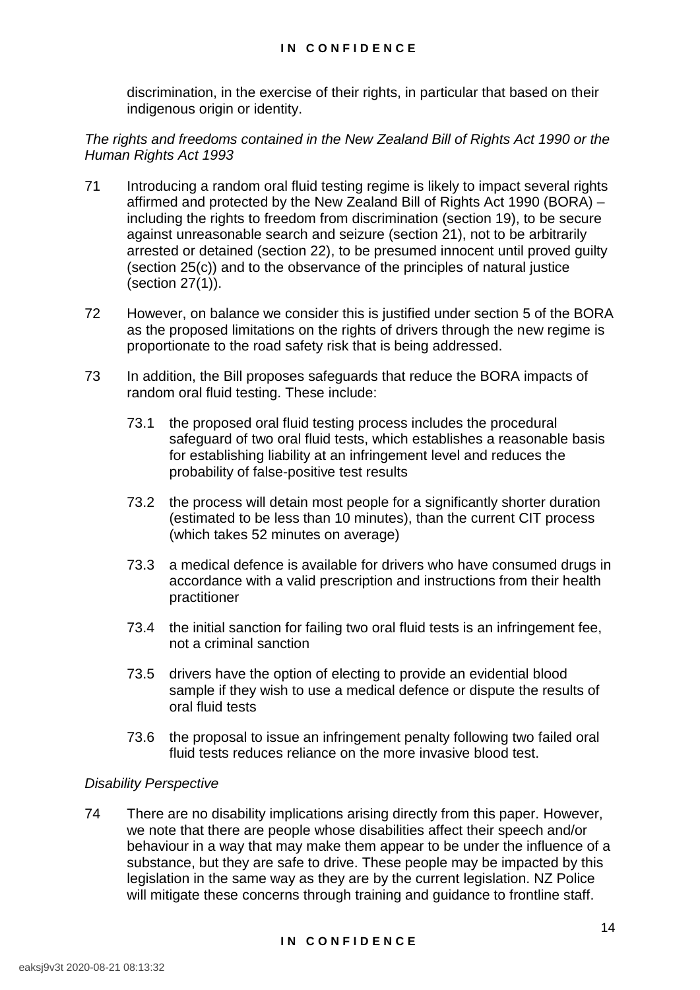discrimination, in the exercise of their rights, in particular that based on their indigenous origin or identity.

*The rights and freedoms contained in the New Zealand Bill of Rights Act 1990 or the Human Rights Act 1993* 

- 71 Introducing a random oral fluid testing regime is likely to impact several rights affirmed and protected by the New Zealand Bill of Rights Act 1990 (BORA) – including the rights to freedom from discrimination (section 19), to be secure against unreasonable search and seizure (section 21), not to be arbitrarily arrested or detained (section 22), to be presumed innocent until proved guilty (section 25(c)) and to the observance of the principles of natural justice (section 27(1)).
- 72 However, on balance we consider this is justified under section 5 of the BORA as the proposed limitations on the rights of drivers through the new regime is proportionate to the road safety risk that is being addressed.
- 73 In addition, the Bill proposes safeguards that reduce the BORA impacts of random oral fluid testing. These include:
	- 73.1 the proposed oral fluid testing process includes the procedural safeguard of two oral fluid tests, which establishes a reasonable basis for establishing liability at an infringement level and reduces the probability of false-positive test results
	- 73.2 the process will detain most people for a significantly shorter duration (estimated to be less than 10 minutes), than the current CIT process (which takes 52 minutes on average)
	- 73.3 a medical defence is available for drivers who have consumed drugs in accordance with a valid prescription and instructions from their health practitioner
	- 73.4 the initial sanction for failing two oral fluid tests is an infringement fee, not a criminal sanction
	- 73.5 drivers have the option of electing to provide an evidential blood sample if they wish to use a medical defence or dispute the results of oral fluid tests
	- 73.6 the proposal to issue an infringement penalty following two failed oral fluid tests reduces reliance on the more invasive blood test.

# *Disability Perspective*

74 There are no disability implications arising directly from this paper. However, we note that there are people whose disabilities affect their speech and/or behaviour in a way that may make them appear to be under the influence of a substance, but they are safe to drive. These people may be impacted by this legislation in the same way as they are by the current legislation. NZ Police will mitigate these concerns through training and guidance to frontline staff.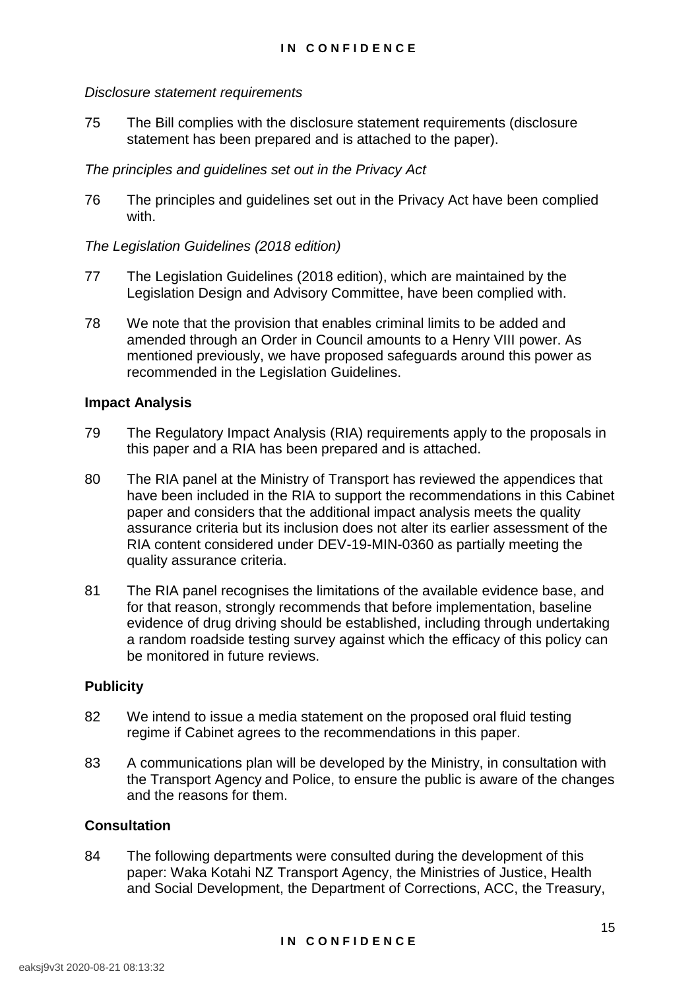# *Disclosure statement requirements*

75 The Bill complies with the disclosure statement requirements (disclosure statement has been prepared and is attached to the paper).

# *The principles and guidelines set out in the Privacy Act*

76 The principles and guidelines set out in the Privacy Act have been complied with.

# *The Legislation Guidelines (2018 edition)*

- 77 The Legislation Guidelines (2018 edition), which are maintained by the Legislation Design and Advisory Committee, have been complied with.
- 78 We note that the provision that enables criminal limits to be added and amended through an Order in Council amounts to a Henry VIII power. As mentioned previously, we have proposed safeguards around this power as recommended in the Legislation Guidelines.

# **Impact Analysis**

- 79 The Regulatory Impact Analysis (RIA) requirements apply to the proposals in this paper and a RIA has been prepared and is attached.
- 80 The RIA panel at the Ministry of Transport has reviewed the appendices that have been included in the RIA to support the recommendations in this Cabinet paper and considers that the additional impact analysis meets the quality assurance criteria but its inclusion does not alter its earlier assessment of the RIA content considered under DEV-19-MIN-0360 as partially meeting the quality assurance criteria.
- 81 The RIA panel recognises the limitations of the available evidence base, and for that reason, strongly recommends that before implementation, baseline evidence of drug driving should be established, including through undertaking a random roadside testing survey against which the efficacy of this policy can be monitored in future reviews.

# **Publicity**

- 82 We intend to issue a media statement on the proposed oral fluid testing regime if Cabinet agrees to the recommendations in this paper.
- 83 A communications plan will be developed by the Ministry, in consultation with the Transport Agency and Police, to ensure the public is aware of the changes and the reasons for them.

#### **Consultation**

84 The following departments were consulted during the development of this paper: Waka Kotahi NZ Transport Agency, the Ministries of Justice, Health and Social Development, the Department of Corrections, ACC, the Treasury,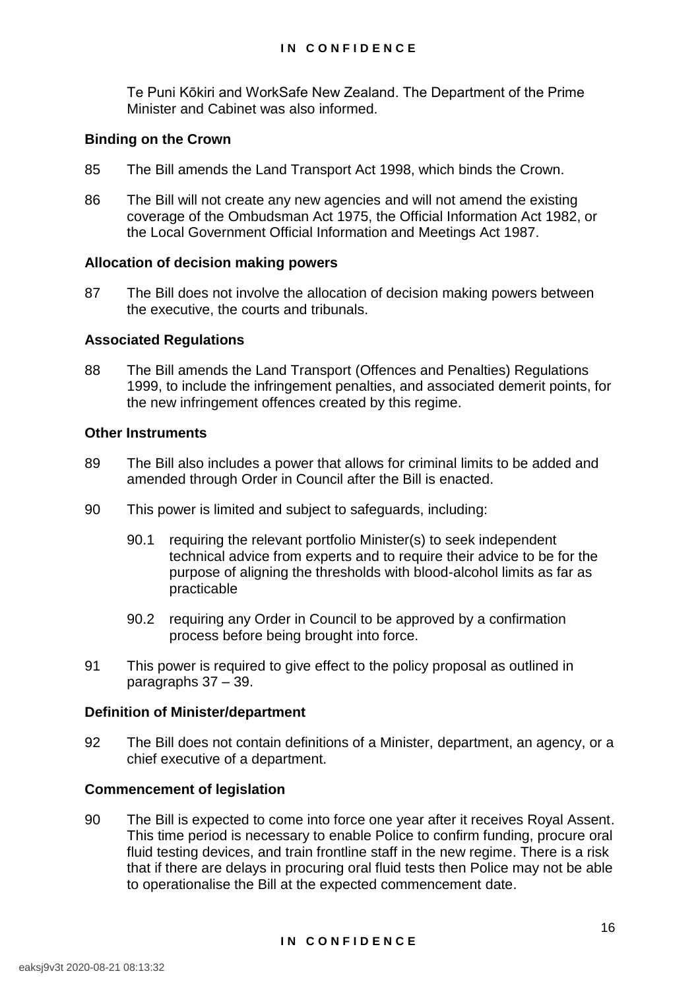Te Puni Kōkiri and WorkSafe New Zealand. The Department of the Prime Minister and Cabinet was also informed.

# **Binding on the Crown**

- 85 The Bill amends the Land Transport Act 1998, which binds the Crown.
- 86 The Bill will not create any new agencies and will not amend the existing coverage of the Ombudsman Act 1975, the Official Information Act 1982, or the Local Government Official Information and Meetings Act 1987.

# **Allocation of decision making powers**

87 The Bill does not involve the allocation of decision making powers between the executive, the courts and tribunals.

# **Associated Regulations**

88 The Bill amends the Land Transport (Offences and Penalties) Regulations 1999, to include the infringement penalties, and associated demerit points, for the new infringement offences created by this regime.

# **Other Instruments**

- 89 The Bill also includes a power that allows for criminal limits to be added and amended through Order in Council after the Bill is enacted.
- 90 This power is limited and subject to safeguards, including:
	- 90.1 requiring the relevant portfolio Minister(s) to seek independent technical advice from experts and to require their advice to be for the purpose of aligning the thresholds with blood-alcohol limits as far as practicable
	- 90.2 requiring any Order in Council to be approved by a confirmation process before being brought into force.
- 91 This power is required to give effect to the policy proposal as outlined in paragraphs 37 – 39.

# **Definition of Minister/department**

92 The Bill does not contain definitions of a Minister, department, an agency, or a chief executive of a department.

#### **Commencement of legislation**

90 The Bill is expected to come into force one year after it receives Royal Assent. This time period is necessary to enable Police to confirm funding, procure oral fluid testing devices, and train frontline staff in the new regime. There is a risk that if there are delays in procuring oral fluid tests then Police may not be able to operationalise the Bill at the expected commencement date.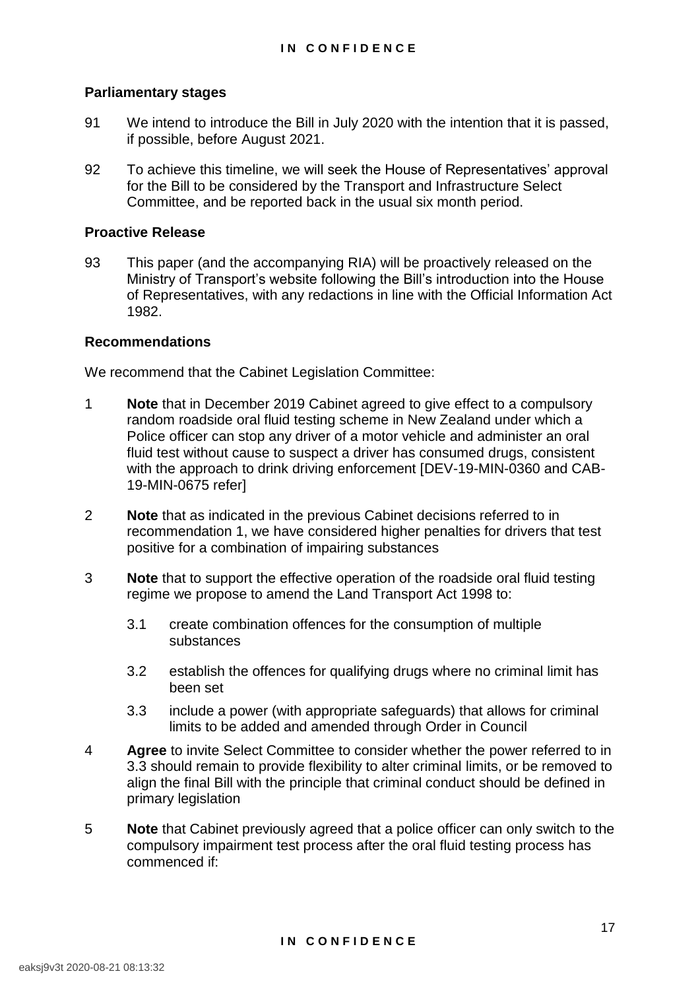# **Parliamentary stages**

- 91 We intend to introduce the Bill in July 2020 with the intention that it is passed, if possible, before August 2021.
- 92 To achieve this timeline, we will seek the House of Representatives' approval for the Bill to be considered by the Transport and Infrastructure Select Committee, and be reported back in the usual six month period.

#### **Proactive Release**

93 This paper (and the accompanying RIA) will be proactively released on the Ministry of Transport's website following the Bill's introduction into the House of Representatives, with any redactions in line with the Official Information Act 1982.

# **Recommendations**

We recommend that the Cabinet Legislation Committee:

- 1 **Note** that in December 2019 Cabinet agreed to give effect to a compulsory random roadside oral fluid testing scheme in New Zealand under which a Police officer can stop any driver of a motor vehicle and administer an oral fluid test without cause to suspect a driver has consumed drugs, consistent with the approach to drink driving enforcement [DEV-19-MIN-0360 and CAB-19-MIN-0675 refer]
- 2 **Note** that as indicated in the previous Cabinet decisions referred to in recommendation 1, we have considered higher penalties for drivers that test positive for a combination of impairing substances
- 3 **Note** that to support the effective operation of the roadside oral fluid testing regime we propose to amend the Land Transport Act 1998 to:
	- 3.1 create combination offences for the consumption of multiple substances
	- 3.2 establish the offences for qualifying drugs where no criminal limit has been set
	- 3.3 include a power (with appropriate safeguards) that allows for criminal limits to be added and amended through Order in Council
- 4 **Agree** to invite Select Committee to consider whether the power referred to in 3.3 should remain to provide flexibility to alter criminal limits, or be removed to align the final Bill with the principle that criminal conduct should be defined in primary legislation
- 5 **Note** that Cabinet previously agreed that a police officer can only switch to the compulsory impairment test process after the oral fluid testing process has commenced if: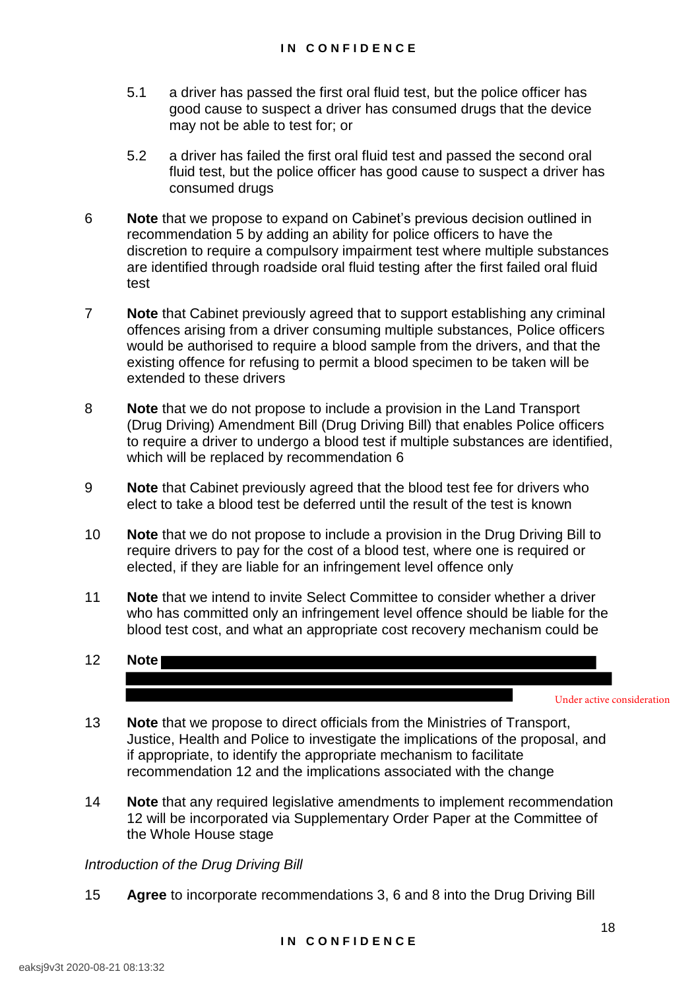- 5.1 a driver has passed the first oral fluid test, but the police officer has good cause to suspect a driver has consumed drugs that the device may not be able to test for; or
- 5.2 a driver has failed the first oral fluid test and passed the second oral fluid test, but the police officer has good cause to suspect a driver has consumed drugs
- 6 **Note** that we propose to expand on Cabinet's previous decision outlined in recommendation 5 by adding an ability for police officers to have the discretion to require a compulsory impairment test where multiple substances are identified through roadside oral fluid testing after the first failed oral fluid test
- 7 **Note** that Cabinet previously agreed that to support establishing any criminal offences arising from a driver consuming multiple substances, Police officers would be authorised to require a blood sample from the drivers, and that the existing offence for refusing to permit a blood specimen to be taken will be extended to these drivers
- 8 **Note** that we do not propose to include a provision in the Land Transport (Drug Driving) Amendment Bill (Drug Driving Bill) that enables Police officers to require a driver to undergo a blood test if multiple substances are identified, which will be replaced by recommendation 6
- 9 **Note** that Cabinet previously agreed that the blood test fee for drivers who elect to take a blood test be deferred until the result of the test is known
- 10 **Note** that we do not propose to include a provision in the Drug Driving Bill to require drivers to pay for the cost of a blood test, where one is required or elected, if they are liable for an infringement level offence only
- 11 **Note** that we intend to invite Select Committee to consider whether a driver who has committed only an infringement level offence should be liable for the blood test cost, and what an appropriate cost recovery mechanism could be
- 12 **Note**

Under active consideration

- 13 **Note** that we propose to direct officials from the Ministries of Transport, Justice, Health and Police to investigate the implications of the proposal, and if appropriate, to identify the appropriate mechanism to facilitate recommendation 12 and the implications associated with the change
- 14 **Note** that any required legislative amendments to implement recommendation 12 will be incorporated via Supplementary Order Paper at the Committee of the Whole House stage

#### *Introduction of the Drug Driving Bill*

15 **Agree** to incorporate recommendations 3, 6 and 8 into the Drug Driving Bill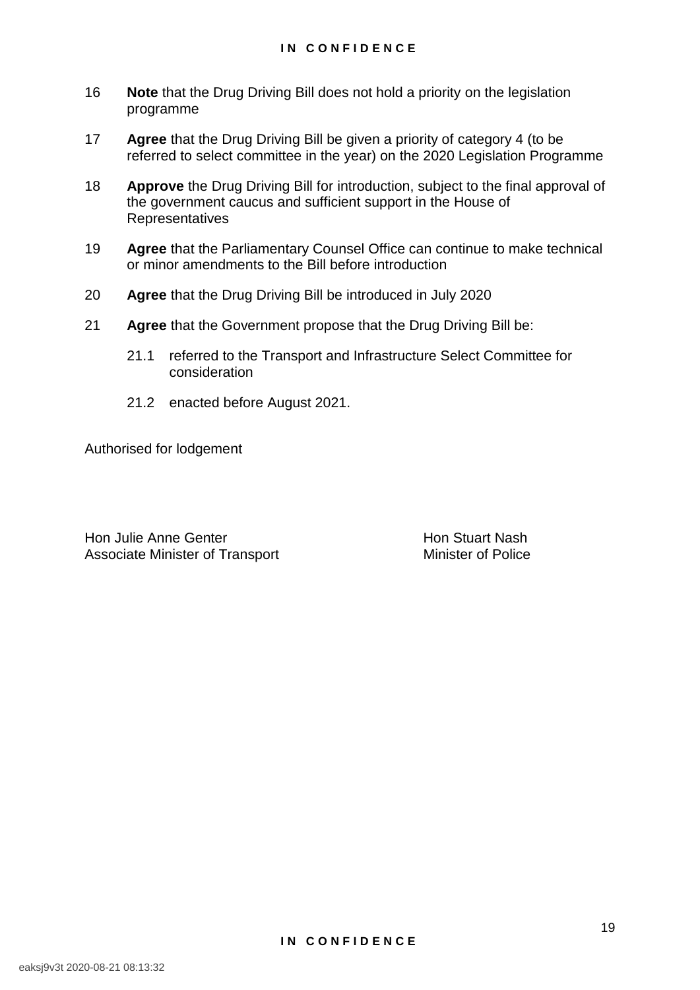- 16 **Note** that the Drug Driving Bill does not hold a priority on the legislation programme
- 17 **Agree** that the Drug Driving Bill be given a priority of category 4 (to be referred to select committee in the year) on the 2020 Legislation Programme
- 18 **Approve** the Drug Driving Bill for introduction, subject to the final approval of the government caucus and sufficient support in the House of **Representatives**
- 19 **Agree** that the Parliamentary Counsel Office can continue to make technical or minor amendments to the Bill before introduction
- 20 **Agree** that the Drug Driving Bill be introduced in July 2020
- 21 **Agree** that the Government propose that the Drug Driving Bill be:
	- 21.1 referred to the Transport and Infrastructure Select Committee for consideration
	- 21.2 enacted before August 2021.

Authorised for lodgement

Hon Julie Anne Genter<br>
Associate Minister of Transport<br>
Associate Minister of Transport<br>
Hon Stuart Nash Associate Minister of Transport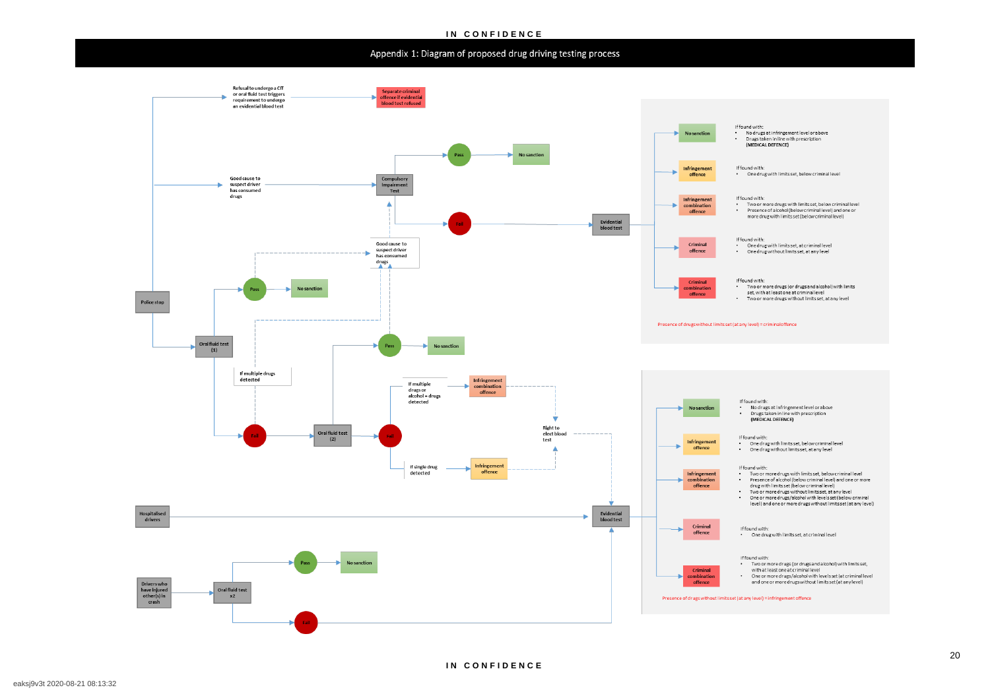#### **IN CONFIDENCE**

# Appendix 1: Diagram of proposed drug driving testing process



# and one or more drugs without limits set (at any level)

level) and one or more drugs without limits set (at any level)

If found with: on our own ...<br>• One drug with limits set, below criminal level<br>• One drug without limits set, at any level

If found with: (MEDICAL DEFENCE)

..................<br>• One drug with limits set, at criminal level

Presence of alcohol (below criminal level) and one or more drug with limits set (below criminal level)

ir round with:<br>• One drug with limits set, below criminal level

ound width:<br>No drugs at infringement level or above<br>Drugs taken in line with prescription (MEDICAL DEFENCE)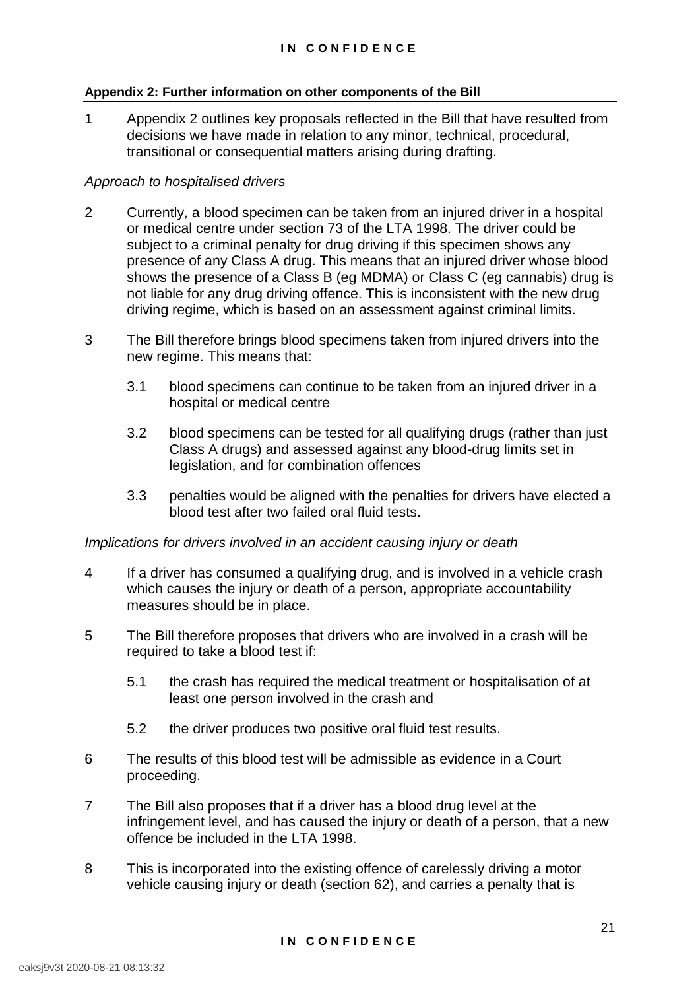#### **Appendix 2: Further information on other components of the Bill**

1 Appendix 2 outlines key proposals reflected in the Bill that have resulted from decisions we have made in relation to any minor, technical, procedural, transitional or consequential matters arising during drafting.

# *Approach to hospitalised drivers*

- 2 Currently, a blood specimen can be taken from an injured driver in a hospital or medical centre under section 73 of the LTA 1998. The driver could be subject to a criminal penalty for drug driving if this specimen shows any presence of any Class A drug. This means that an injured driver whose blood shows the presence of a Class B (eg MDMA) or Class C (eg cannabis) drug is not liable for any drug driving offence. This is inconsistent with the new drug driving regime, which is based on an assessment against criminal limits.
- 3 The Bill therefore brings blood specimens taken from injured drivers into the new regime. This means that:
	- 3.1 blood specimens can continue to be taken from an injured driver in a hospital or medical centre
	- 3.2 blood specimens can be tested for all qualifying drugs (rather than just Class A drugs) and assessed against any blood-drug limits set in legislation, and for combination offences
	- 3.3 penalties would be aligned with the penalties for drivers have elected a blood test after two failed oral fluid tests.

#### *Implications for drivers involved in an accident causing injury or death*

- 4 If a driver has consumed a qualifying drug, and is involved in a vehicle crash which causes the injury or death of a person, appropriate accountability measures should be in place.
- 5 The Bill therefore proposes that drivers who are involved in a crash will be required to take a blood test if:
	- 5.1 the crash has required the medical treatment or hospitalisation of at least one person involved in the crash and
	- 5.2 the driver produces two positive oral fluid test results.
- 6 The results of this blood test will be admissible as evidence in a Court proceeding.
- 7 The Bill also proposes that if a driver has a blood drug level at the infringement level, and has caused the injury or death of a person, that a new offence be included in the LTA 1998.
- 8 This is incorporated into the existing offence of carelessly driving a motor vehicle causing injury or death (section 62), and carries a penalty that is